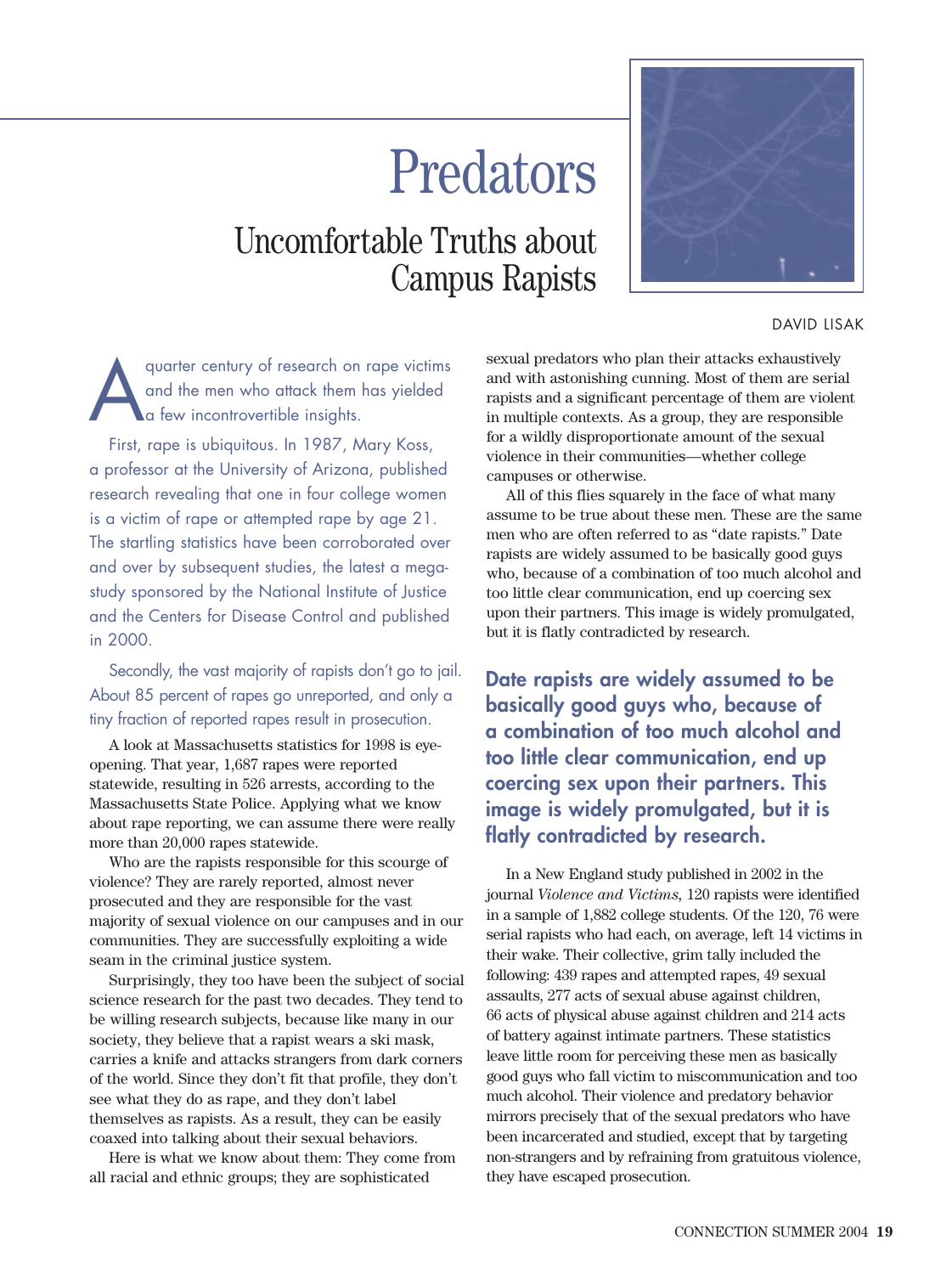# Predators

## Uncomfortable Truths about Campus Rapists



DAVID LISAK

quarter century of research on rape victims<br>and the men who attack them has yielded<br>a few incontrovertible insights. and the men who attack them has yielded a few incontrovertible insights.

First, rape is ubiquitous. In 1987, Mary Koss, a professor at the University of Arizona, published research revealing that one in four college women is a victim of rape or attempted rape by age 21. The startling statistics have been corroborated over and over by subsequent studies, the latest a megastudy sponsored by the National Institute of Justice and the Centers for Disease Control and published in 2000.

Secondly, the vast majority of rapists don't go to jail. About 85 percent of rapes go unreported, and only a tiny fraction of reported rapes result in prosecution.

A look at Massachusetts statistics for 1998 is eyeopening. That year, 1,687 rapes were reported statewide, resulting in 526 arrests, according to the Massachusetts State Police. Applying what we know about rape reporting, we can assume there were really more than 20,000 rapes statewide.

Who are the rapists responsible for this scourge of violence? They are rarely reported, almost never prosecuted and they are responsible for the vast majority of sexual violence on our campuses and in our communities. They are successfully exploiting a wide seam in the criminal justice system.

Surprisingly, they too have been the subject of social science research for the past two decades. They tend to be willing research subjects, because like many in our society, they believe that a rapist wears a ski mask, carries a knife and attacks strangers from dark corners of the world. Since they don't fit that profile, they don't see what they do as rape, and they don't label themselves as rapists. As a result, they can be easily coaxed into talking about their sexual behaviors.

Here is what we know about them: They come from all racial and ethnic groups; they are sophisticated

sexual predators who plan their attacks exhaustively and with astonishing cunning. Most of them are serial rapists and a significant percentage of them are violent in multiple contexts. As a group, they are responsible for a wildly disproportionate amount of the sexual violence in their communities—whether college campuses or otherwise.

All of this flies squarely in the face of what many assume to be true about these men. These are the same men who are often referred to as "date rapists." Date rapists are widely assumed to be basically good guys who, because of a combination of too much alcohol and too little clear communication, end up coercing sex upon their partners. This image is widely promulgated, but it is flatly contradicted by research.

**Date rapists are widely assumed to be basically good guys who, because of a combination of too much alcohol and too little clear communication, end up coercing sex upon their partners. This image is widely promulgated, but it is flatly contradicted by research.**

In a New England study published in 2002 in the journal *Violence and Victims,* 120 rapists were identified in a sample of 1,882 college students. Of the 120, 76 were serial rapists who had each, on average, left 14 victims in their wake. Their collective, grim tally included the following: 439 rapes and attempted rapes, 49 sexual assaults, 277 acts of sexual abuse against children, 66 acts of physical abuse against children and 214 acts of battery against intimate partners. These statistics leave little room for perceiving these men as basically good guys who fall victim to miscommunication and too much alcohol. Their violence and predatory behavior mirrors precisely that of the sexual predators who have been incarcerated and studied, except that by targeting non-strangers and by refraining from gratuitous violence, they have escaped prosecution.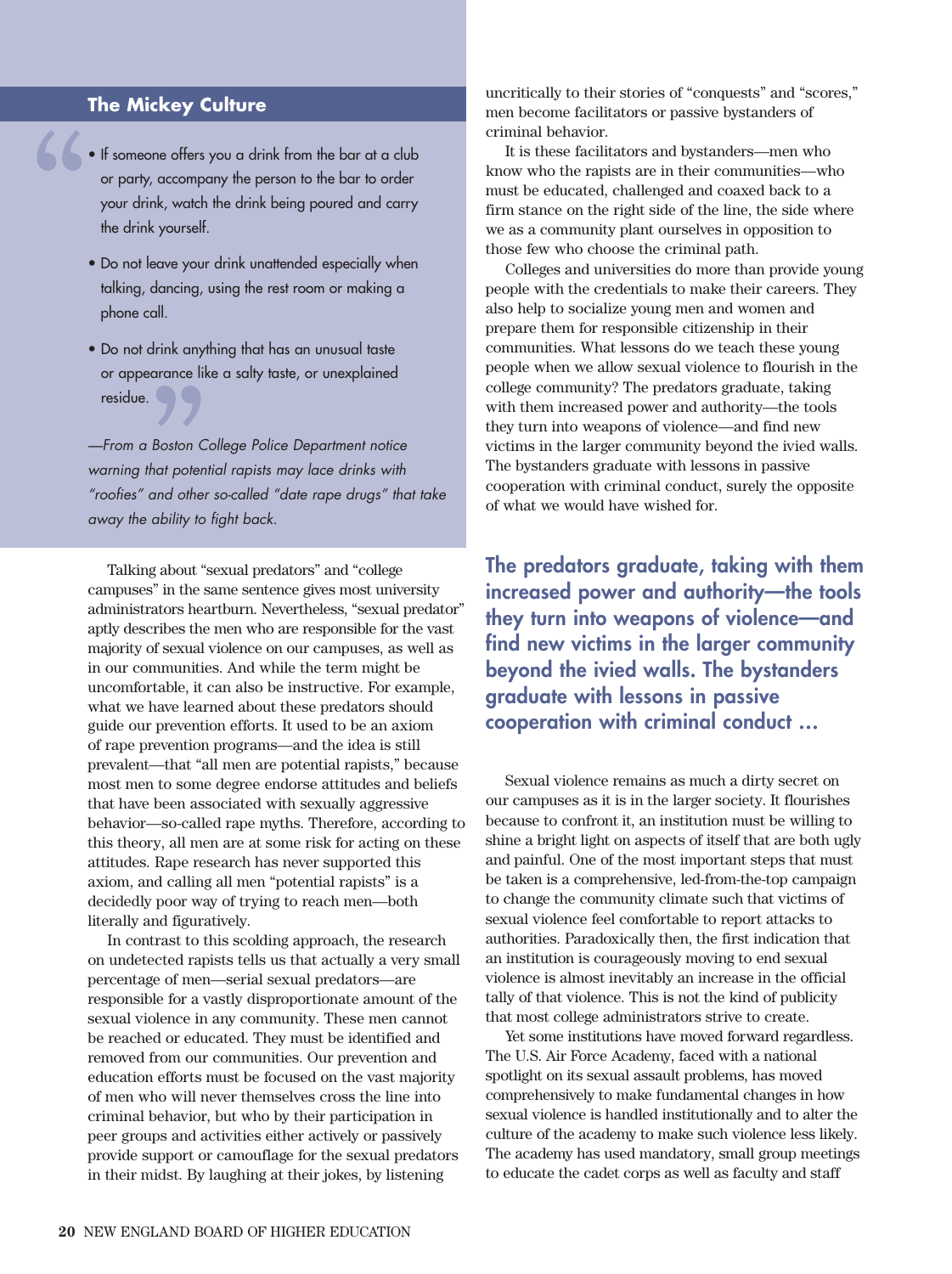#### **The Mickey Culture**

- If someone offers you a drink from the bar at a club or party, accompany the person to the bar to order your drink, watch the drink being poured and carry the drink yourself.
	- Do not leave your drink unattended especially when talking, dancing, using the rest room or making a phone call.
	- Do not drink anything that has an unusual taste or appearance like a salty taste, or unexplained residue.

*—From a Boston College Police Department notice warning that potential rapists may lace drinks with "roofies" and other so-called "date rape drugs" that take away the ability to fight back.*

Talking about "sexual predators" and "college campuses" in the same sentence gives most university administrators heartburn. Nevertheless, "sexual predator" aptly describes the men who are responsible for the vast majority of sexual violence on our campuses, as well as in our communities. And while the term might be uncomfortable, it can also be instructive. For example, what we have learned about these predators should guide our prevention efforts. It used to be an axiom of rape prevention programs—and the idea is still prevalent—that "all men are potential rapists," because most men to some degree endorse attitudes and beliefs that have been associated with sexually aggressive behavior—so-called rape myths. Therefore, according to this theory, all men are at some risk for acting on these attitudes. Rape research has never supported this axiom, and calling all men "potential rapists" is a decidedly poor way of trying to reach men—both literally and figuratively.

In contrast to this scolding approach, the research on undetected rapists tells us that actually a very small percentage of men—serial sexual predators—are responsible for a vastly disproportionate amount of the sexual violence in any community. These men cannot be reached or educated. They must be identified and removed from our communities. Our prevention and education efforts must be focused on the vast majority of men who will never themselves cross the line into criminal behavior, but who by their participation in peer groups and activities either actively or passively provide support or camouflage for the sexual predators in their midst. By laughing at their jokes, by listening

uncritically to their stories of "conquests" and "scores," men become facilitators or passive bystanders of criminal behavior.

It is these facilitators and bystanders—men who know who the rapists are in their communities—who must be educated, challenged and coaxed back to a firm stance on the right side of the line, the side where we as a community plant ourselves in opposition to those few who choose the criminal path.

Colleges and universities do more than provide young people with the credentials to make their careers. They also help to socialize young men and women and prepare them for responsible citizenship in their communities. What lessons do we teach these young people when we allow sexual violence to flourish in the college community? The predators graduate, taking with them increased power and authority—the tools they turn into weapons of violence—and find new victims in the larger community beyond the ivied walls. The bystanders graduate with lessons in passive cooperation with criminal conduct, surely the opposite of what we would have wished for.

**The predators graduate, taking with them increased power and authority—the tools they turn into weapons of violence—and find new victims in the larger community beyond the ivied walls. The bystanders graduate with lessons in passive cooperation with criminal conduct …**

Sexual violence remains as much a dirty secret on our campuses as it is in the larger society. It flourishes because to confront it, an institution must be willing to shine a bright light on aspects of itself that are both ugly and painful. One of the most important steps that must be taken is a comprehensive, led-from-the-top campaign to change the community climate such that victims of sexual violence feel comfortable to report attacks to authorities. Paradoxically then, the first indication that an institution is courageously moving to end sexual violence is almost inevitably an increase in the official tally of that violence. This is not the kind of publicity that most college administrators strive to create.

Yet some institutions have moved forward regardless. The U.S. Air Force Academy, faced with a national spotlight on its sexual assault problems, has moved comprehensively to make fundamental changes in how sexual violence is handled institutionally and to alter the culture of the academy to make such violence less likely. The academy has used mandatory, small group meetings to educate the cadet corps as well as faculty and staff